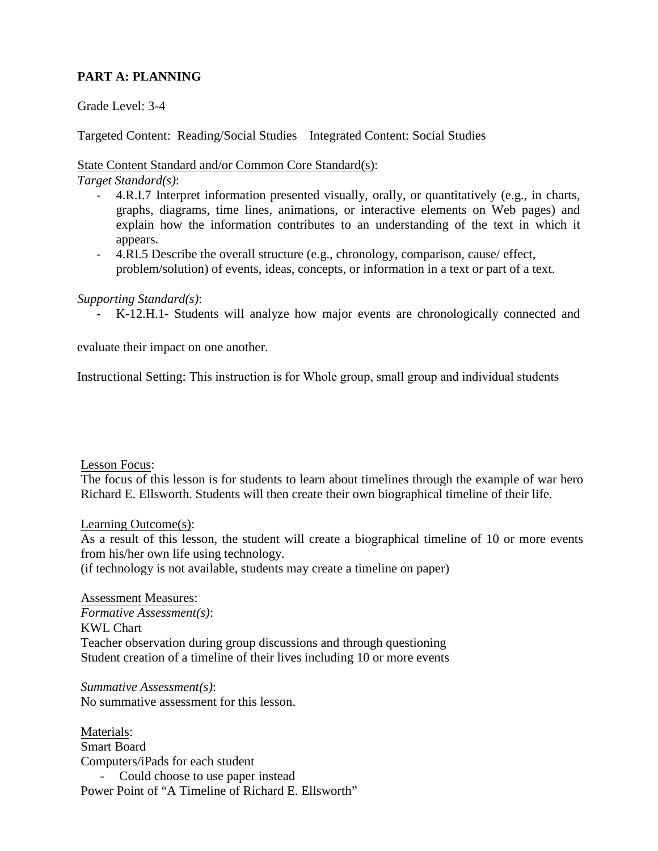# **PART A: PLANNING**

#### Grade Level: 3-4

Targeted Content: Reading/Social Studies Integrated Content: Social Studies

#### State Content Standard and/or Common Core Standard(s):

*Target Standard(s)*:

- explain how the information contributes to an understanding of the text in which it - 4.R.I.7 Interpret information presented visually, orally, or quantitatively (e.g., in charts, graphs, diagrams, time lines, animations, or interactive elements on Web pages) and appears.
- 4.RI.5 Describe the overall structure (e.g., chronology, comparison, cause/ effect, problem/solution) of events, ideas, concepts, or information in a text or part of a text.

#### *Supporting Standard(s)*:

- K-12.H.1- Students will analyze how major events are chronologically connected and

evaluate their impact on one another.

Instructional Setting: This instruction is for Whole group, small group and individual students<br>Instructional Setting: This instruction is for Whole group, small group and individual students

#### Lesson Focus:

 Richard E. Ellsworth. Students will then create their own biographical timeline of their life. The focus of this lesson is for students to learn about timelines through the example of war hero

Learning Outcome(s):

 As a result of this lesson, the student will create a biographical timeline of 10 or more events from his/her own life using technology.

(if technology is not available, students may create a timeline on paper)

Assessment Measures: *Formative Assessment(s)*: KWL Chart Teacher observation during group discussions and through questioning Student creation of a timeline of their lives including 10 or more events

*Summative Assessment(s)*: No summative assessment for this lesson.

Materials: Smart Board Computers/iPads for each student Could choose to use paper instead Power Point of "A Timeline of Richard E. Ellsworth"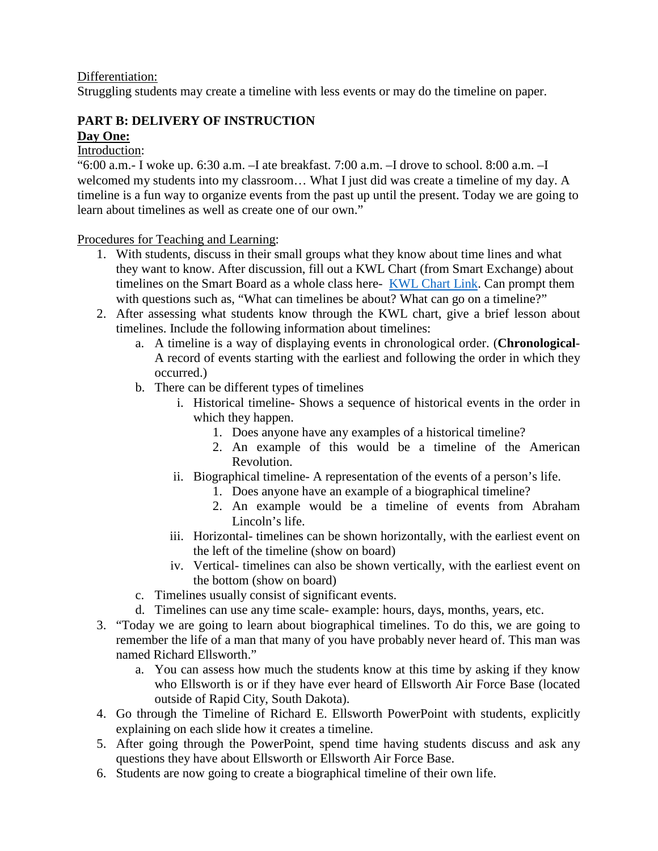#### Differentiation:

Struggling students may create a timeline with less events or may do the timeline on paper.

# **PART B: DELIVERY OF INSTRUCTION Day One:**

# Introduction:

"6:00 a.m.- I woke up. 6:30 a.m. –I ate breakfast. 7:00 a.m. –I drove to school. 8:00 a.m. –I welcomed my students into my classroom… What I just did was create a timeline of my day. A timeline is a fun way to organize events from the past up until the present. Today we are going to learn about timelines as well as create one of our own."

Procedures for Teaching and Learning:

- 1. With students, discuss in their small groups what they know about time lines and what they want to know. After discussion, fill out a KWL Chart (from Smart Exchange) about timelines on the Smart Board as a whole class here- [KWL Chart Link.](http://express.smarttech.com/?url=http://exchangedownloads.smarttech.com/public/content/13/132f93fe-8536-45ce-9620-0cf5f6db2b09/KWL2%20chart.notebook) Can prompt them with questions such as, "What can timelines be about? What can go on a timeline?"
- 2. After assessing what students know through the KWL chart, give a brief lesson about timelines. Include the following information about timelines:
	- a. A timeline is a way of displaying events in chronological order. (**Chronological**-A record of events starting with the earliest and following the order in which they occurred.)
	- b. There can be different types of timelines
		- i. Historical timeline- Shows a sequence of historical events in the order in which they happen.
			- 1. Does anyone have any examples of a historical timeline?
			- 2. An example of this would be a timeline of the American Revolution.
		- ii. Biographical timeline- A representation of the events of a person's life.
			- 1. Does anyone have an example of a biographical timeline?
			- 2. An example would be a timeline of events from Abraham Lincoln's life.
		- iii. Horizontal- timelines can be shown horizontally, with the earliest event on the left of the timeline (show on board)
		- iv. Vertical- timelines can also be shown vertically, with the earliest event on the bottom (show on board)
	- c. Timelines usually consist of significant events.
	- d. Timelines can use any time scale- example: hours, days, months, years, etc.
- 3. "Today we are going to learn about biographical timelines. To do this, we are going to remember the life of a man that many of you have probably never heard of. This man was named Richard Ellsworth."
	- a. You can assess how much the students know at this time by asking if they know who Ellsworth is or if they have ever heard of Ellsworth Air Force Base (located outside of Rapid City, South Dakota).
- 4. Go through the Timeline of Richard E. Ellsworth PowerPoint with students, explicitly explaining on each slide how it creates a timeline.
- 5. After going through the PowerPoint, spend time having students discuss and ask any questions they have about Ellsworth or Ellsworth Air Force Base.
- 6. Students are now going to create a biographical timeline of their own life.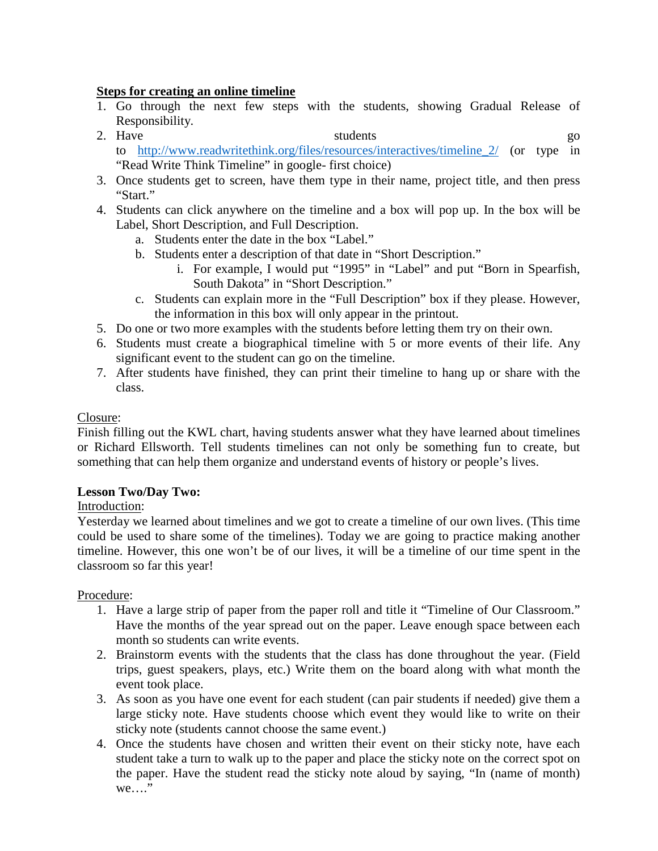## **Steps for creating an online timeline**

- 1. Go through the next few steps with the students, showing Gradual Release of Responsibility.
- 2. Have students go students go to [http://www.readwritethink.org/files/resources/interactives/timeline\\_2/](http://www.readwritethink.org/files/resources/interactives/timeline_2/) (or type in "Read Write Think Timeline" in google- first choice)
- 3. Once students get to screen, have them type in their name, project title, and then press "Start."
- 4. Students can click anywhere on the timeline and a box will pop up. In the box will be Label, Short Description, and Full Description.
	- a. Students enter the date in the box "Label."
	- b. Students enter a description of that date in "Short Description."
		- i. For example, I would put "1995" in "Label" and put "Born in Spearfish, South Dakota" in "Short Description."
	- c. Students can explain more in the "Full Description" box if they please. However, the information in this box will only appear in the printout.
- 5. Do one or two more examples with the students before letting them try on their own.
- 6. Students must create a biographical timeline with 5 or more events of their life. Any significant event to the student can go on the timeline.
- 7. After students have finished, they can print their timeline to hang up or share with the class.

## Closure:

Finish filling out the KWL chart, having students answer what they have learned about timelines or Richard Ellsworth. Tell students timelines can not only be something fun to create, but something that can help them organize and understand events of history or people's lives.

## **Lesson Two/Day Two:**

## Introduction:

Yesterday we learned about timelines and we got to create a timeline of our own lives. (This time could be used to share some of the timelines). Today we are going to practice making another timeline. However, this one won't be of our lives, it will be a timeline of our time spent in the classroom so far this year!

## Procedure:

- 1. Have a large strip of paper from the paper roll and title it "Timeline of Our Classroom." Have the months of the year spread out on the paper. Leave enough space between each month so students can write events.
- 2. Brainstorm events with the students that the class has done throughout the year. (Field trips, guest speakers, plays, etc.) Write them on the board along with what month the event took place.
- 3. As soon as you have one event for each student (can pair students if needed) give them a large sticky note. Have students choose which event they would like to write on their sticky note (students cannot choose the same event.)
- 4. Once the students have chosen and written their event on their sticky note, have each student take a turn to walk up to the paper and place the sticky note on the correct spot on the paper. Have the student read the sticky note aloud by saying, "In (name of month) we…."